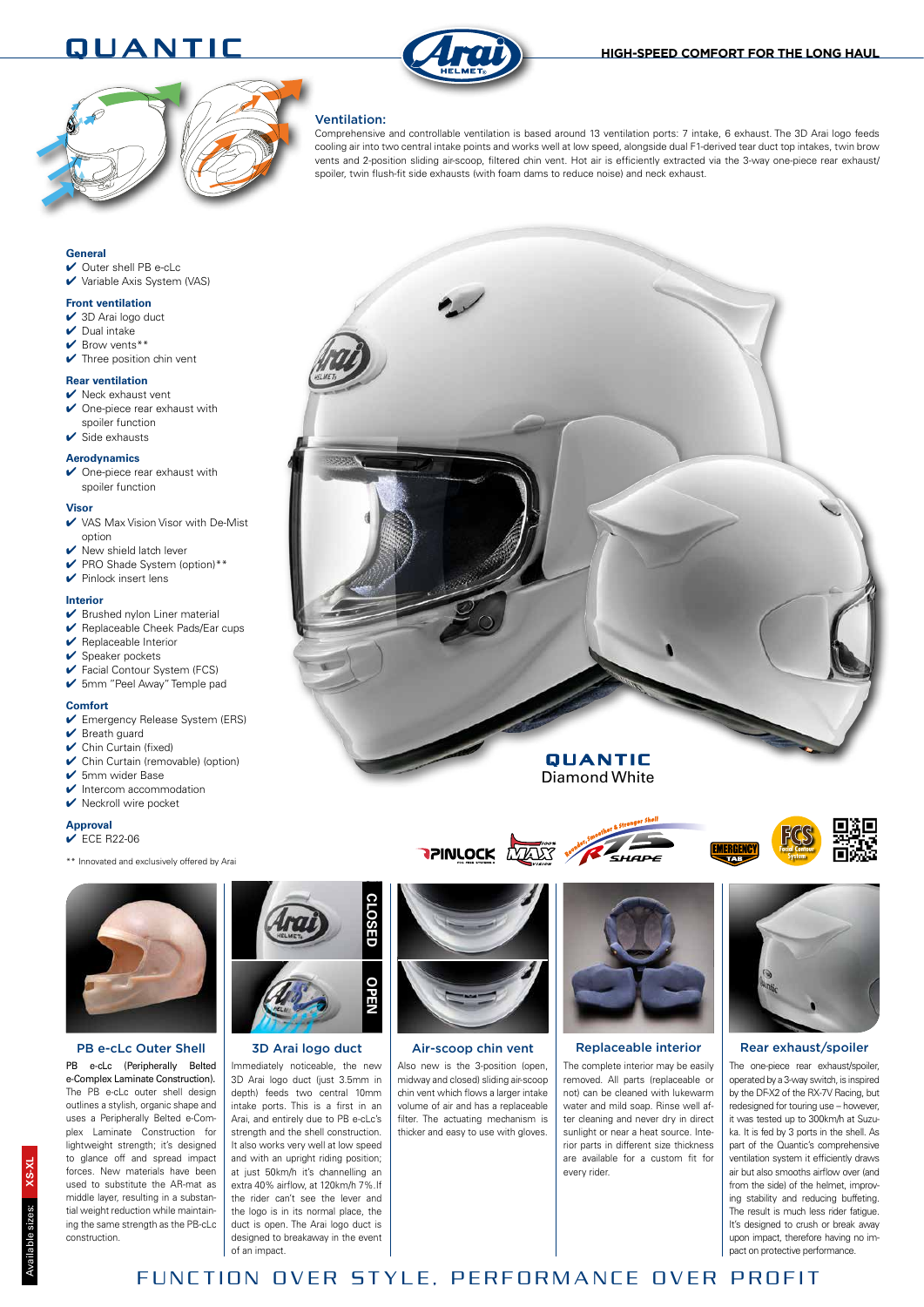## **QUANTIC HIGH-SPEED COMFORT FOR THE LONG HAUL**





### Ventilation:

Comprehensive and controllable ventilation is based around 13 ventilation ports: 7 intake, 6 exhaust. The 3D Arai logo feeds cooling air into two central intake points and works well at low speed, alongside dual F1-derived tear duct top intakes, twin brow vents and 2-position sliding air-scoop, filtered chin vent. Hot air is efficiently extracted via the 3-way one-piece rear exhaust/ spoiler, twin flush-fit side exhausts (with foam dams to reduce noise) and neck exhaust.



- $\vee$  Outer shell PB e-cLc
- 4 Variable Axis System (VAS)

#### **Front ventilation**

- $\vee$  3D Arai logo duct
- $\triangleright$  Dual intake
- $\vee$  Brow vents\*\*
- $\blacktriangleright$  Three position chin vent

### **Rear ventilation**

- $\vee$  Neck exhaust vent  $\vee$  One-piece rear exhaust with
- spoiler function  $\vee$  Side exhausts

#### **Aerodynamics**

✔ One-piece rear exhaust with spoiler function

#### **Visor**

- ✔ VAS Max Vision Visor with De-Mist option
- $\vee$  New shield latch lever
- 4 PRO Shade System (option)\*\*
- $\blacktriangleright$  Pinlock insert lens

#### **Interior**

- $\blacktriangleright$  Brushed nylon Liner material
- $\vee$  Replaceable Cheek Pads/Ear cups
- $\blacktriangleright$  Replaceable Interior
- $\checkmark$  Speaker pockets
- 4 Facial Contour System (FCS)
- 4 5mm ''Peel Away'' Temple pad

#### **Comfort**

- 4 Emergency Release System (ERS)
- ✔ Breath guard
- $\vee$  Chin Curtain (fixed)
- 4 Chin Curtain (removable) (option)
- ✔ 5mm wider Base
- $\triangleright$  Intercom accommodation
- $\blacktriangleright$  Neckroll wire pocket

**Approval**

- $\overrightarrow{F}$  ECE R22-06
- \*\* Innovated and exclusively offered by Arai



PB e-cLc (Peripherally Belted e-Complex Laminate Construction). The PB e-cLc outer shell design outlines a stylish, organic shape and uses a Peripherally Belted e-Complex Laminate Construction for lightweight strength; it's designed to glance off and spread impact forces. New materials have been used to substitute the AR-mat as middle layer, resulting in a substantial weight reduction while maintaining the same strength as the PB-cLc construction.



#### 3D Arai logo duct

Immediately noticeable, the new 3D Arai logo duct (just 3.5mm in depth) feeds two central 10mm intake ports. This is a first in an Arai, and entirely due to PB e-cLc's strength and the shell construction. It also works very well at low speed and with an upright riding position; at just 50km/h it's channelling an extra 40% airflow, at 120km/h 7%.If the rider can't see the lever and the logo is in its normal place, the duct is open. The Arai logo duct is designed to breakaway in the event of an impact.



Also new is the 3-position (open) midway and closed) sliding air-scoop chin vent which flows a larger intake volume of air and has a replaceable filter. The actuating mechanism is thicker and easy to use with gloves.



QUANTIC Diamond White

**TPINLOCK** WALES WE SHAPE

The complete interior may be easily removed. All parts (replaceable or not) can be cleaned with lukewarm water and mild soap. Rinse well after cleaning and never dry in direct sunlight or near a heat source. Interior parts in different size thickness are available for a custom fit for every rider.

The one-piece rear exhaust/spoiler operated by a 3-way switch, is inspired by the DF-X2 of the RX-7V Racing, but redesigned for touring use – however, it was tested up to 300km/h at Suzuka. It is fed by 3 ports in the shell. As part of the Quantic's comprehensive ventilation system it efficiently draws air but also smooths airflow over (and from the side) of the helmet, improving stability and reducing buffeting. The result is much less rider fatigue. It's designed to crush or break away upon impact, therefore having no impact on protective performance.



**Facial Contour System**

FUNCTION OVER STYLE, PERFORMANCE OVER PROFIT